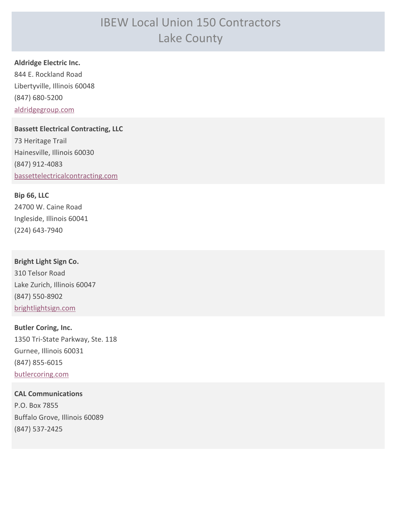# IBEW Local Union 150 Contractors Lake County

**Aldridge Electric Inc.**

844 E. Rockland Road Libertyville, Illinois 60048 (847) 680-5200 [aldridgegroup.com](http://aldridgegroup.com)

**Bassett Electrical Contracting, LLC** 73 Heritage Trail Hainesville, Illinois 60030 (847) 912-4083 [bassettelectricalcontracting.com](http://bassettelectricalcontracting.com)

**Bip 66, LLC** 24700 W. Caine Road Ingleside, Illinois 60041 (224) 643-7940

**Bright Light Sign Co.** 310 Telsor Road Lake Zurich, Illinois 60047 (847) 550-8902 [brightlightsign.com](http://brightlightsign.com)

**Butler Coring, Inc.** 1350 Tri-State Parkway, Ste. 118 Gurnee, Illinois 60031 (847) 855-6015 [butlercoring.com](http://butlercoring.com)

**CAL Communications** P.O. Box 7855 Buffalo Grove, Illinois 60089 (847) 537-2425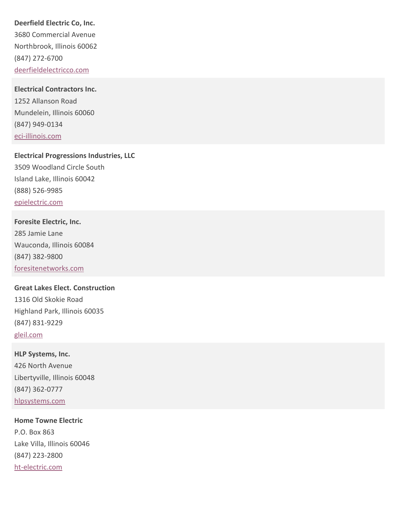### **Deerfield Electric Co, Inc.**

3680 Commercial Avenue Northbrook, Illinois 60062 (847) 272-6700 [deerfieldelectricco.com](http://deerfieldelectricco.com)

#### **Electrical Contractors Inc.**

1252 Allanson Road Mundelein, Illinois 60060 (847) 949-0134 [eci-illinois.com](http://eci-illinois.com)

**Electrical Progressions Industries, LLC** 3509 Woodland Circle South Island Lake, Illinois 60042 (888) 526-9985 [epielectric.com](http://epielectric.com)

**Foresite Electric, Inc.** 285 Jamie Lane Wauconda, Illinois 60084 (847) 382-9800 [foresitenetworks.com](http://foresitenetworks.com)

**Great Lakes Elect. Construction** 1316 Old Skokie Road Highland Park, Illinois 60035 (847) 831-9229 [gleil.com](http://gleil.com)

**HLP Systems, Inc.** 426 North Avenue Libertyville, Illinois 60048 (847) 362-0777 [hlpsystems.com](http://hlpsystems.com)

**Home Towne Electric** P.O. Box 863 Lake Villa, Illinois 60046 (847) 223-2800 [ht-electric.com](http://ht-electric.com)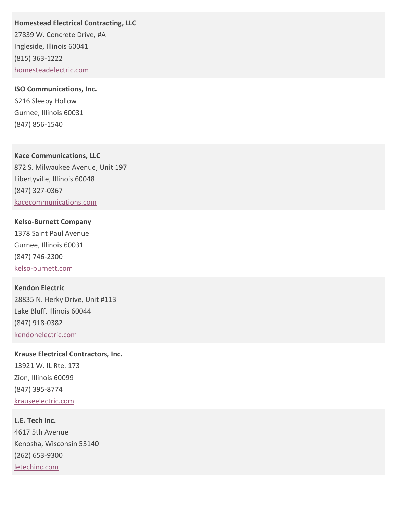**Homestead Electrical Contracting, LLC**

27839 W. Concrete Drive, #A Ingleside, Illinois 60041 (815) 363-1222 [homesteadelectric.com](http://homesteadelectric.com)

**ISO Communications, Inc.** 6216 Sleepy Hollow Gurnee, Illinois 60031 (847) 856-1540

**Kace Communications, LLC** 872 S. Milwaukee Avenue, Unit 197 Libertyville, Illinois 60048 (847) 327-0367 [kacecommunications.com](http://kacecommunications.com)

# **Kelso-Burnett Company** 1378 Saint Paul Avenue Gurnee, Illinois 60031

(847) 746-2300 [kelso-burnett.com](http://kelso-burnett.com)

### **Kendon Electric**

28835 N. Herky Drive, Unit #113 Lake Bluff, Illinois 60044 (847) 918-0382 [kendonelectric.com](http://kendonelectric.com)

**Krause Electrical Contractors, Inc.** 13921 W. IL Rte. 173 Zion, Illinois 60099 (847) 395-8774 [krauseelectric.com](http://krauseelectric.com)

**L.E. Tech Inc.** 4617 5th Avenue Kenosha, Wisconsin 53140 (262) 653-9300 [letechinc.com](http://letechinc.com)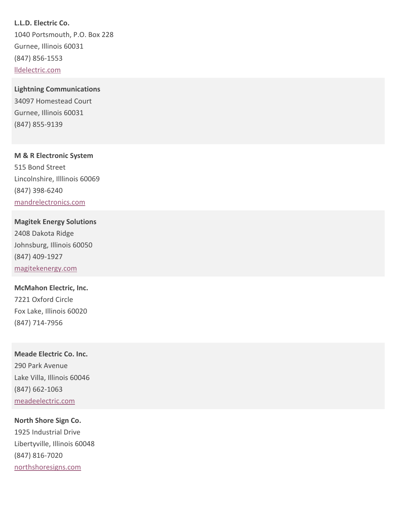**L.L.D. Electric Co.** 1040 Portsmouth, P.O. Box 228 Gurnee, Illinois 60031 (847) 856-1553 [lldelectric.com](http://lldelectric.com)

**Lightning Communications** 34097 Homestead Court Gurnee, Illinois 60031 (847) 855-9139

**M & R Electronic System** 515 Bond Street Lincolnshire, Illlinois 60069 (847) 398-6240 [mandrelectronics.com](http://mandrelectronics.com)

**Magitek Energy Solutions** 2408 Dakota Ridge Johnsburg, Illinois 60050 (847) 409-1927 [magitekenergy.com](http://magitekenergy.com)

**McMahon Electric, Inc.** 7221 Oxford Circle Fox Lake, Illinois 60020 (847) 714-7956

**Meade Electric Co. Inc.** 290 Park Avenue Lake Villa, Illinois 60046 (847) 662-1063 [meadeelectric.com](http://meadeelectric.com)

**North Shore Sign Co.** 1925 Industrial Drive Libertyville, Illinois 60048 (847) 816-7020 [northshoresigns.com](http://northshoresigns.com)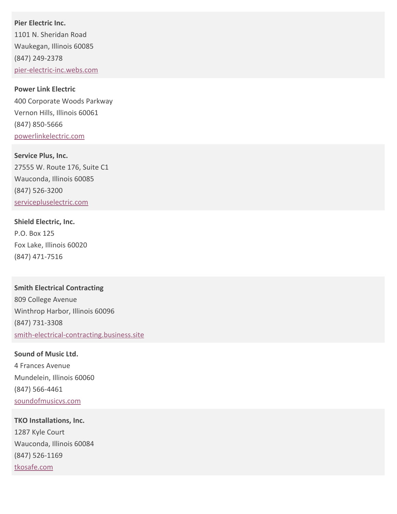**Pier Electric Inc.** 1101 N. Sheridan Road Waukegan, Illinois 60085 (847) 249-2378 [pier-electric-inc.webs.com](http://pier-electric-inc.webs.com)

**Power Link Electric** 400 Corporate Woods Parkway Vernon Hills, Illinois 60061 (847) 850-5666 [powerlinkelectric.com](http://powerlinkelectric.com)

**Service Plus, Inc.** 27555 W. Route 176, Suite C1 Wauconda, Illinois 60085 (847) 526-3200 [servicepluselectric.com](http://servicepluselectric.com)

**Shield Electric, Inc.** P.O. Box 125 Fox Lake, Illinois 60020 (847) 471-7516

**Smith Electrical Contracting** 809 College Avenue Winthrop Harbor, Illinois 60096 (847) 731-3308 [smith-electrical-contracting.business.site](http://smith-electrical-contracting.business.site)

**Sound of Music Ltd.** 4 Frances Avenue Mundelein, Illinois 60060 (847) 566-4461 [soundofmusicvs.com](http://soundofmusicvs.com)

**TKO Installations, Inc.** 1287 Kyle Court Wauconda, Illinois 60084 (847) 526-1169 [tkosafe.com](http://tkosafe.com)